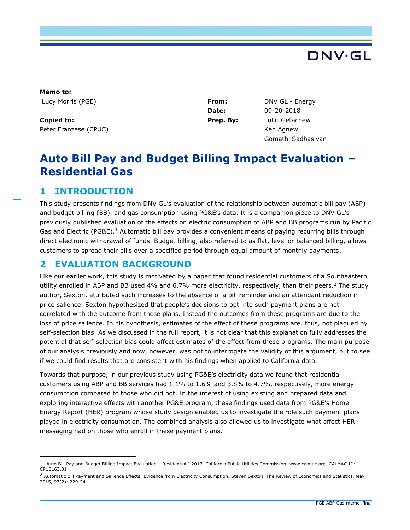

**Memo to:**  Lucy Morris (PGE) **From:** DNV GL - Energy

**Copied to:** Peter Franzese (CPUC)

**Date:** 09-20-2018 **Prep. By:** Lullit Getachew Ken Agnew Gomathi Sadhasivan

# **Auto Bill Pay and Budget Billing Impact Evaluation – Residential Gas**

# **1 INTRODUCTION**

ı

This study presents findings from DNV GL's evaluation of the relationship between automatic bill pay (ABP) and budget billing (BB), and gas consumption using PG&E's data. It is a companion piece to DNV GL's previously published evaluation of the effects on electric consumption of ABP and BB programs run by Pacific Gas and Electric (PG&E).<sup>1</sup> Automatic bill pay provides a convenient means of paying recurring bills through direct electronic withdrawal of funds. Budget billing, also referred to as flat, level or balanced billing, allows customers to spread their bills over a specified period through equal amount of monthly payments.

# **2 EVALUATION BACKGROUND**

Like our earlier work, this study is motivated by a paper that found residential customers of a Southeastern utility enrolled in ABP and BB used 4% and 6.7% more electricity, respectively, than their peers.<sup>2</sup> The study author, Sexton, attributed such increases to the absence of a bill reminder and an attendant reduction in price salience. Sexton hypothesized that people's decisions to opt into such payment plans are not correlated with the outcome from these plans. Instead the outcomes from these programs are due to the loss of price salience. In his hypothesis, estimates of the effect of these programs are, thus, not plagued by self-selection bias. As we discussed in the full report, it is not clear that this explanation fully addresses the potential that self-selection bias could affect estimates of the effect from these programs. The main purpose of our analysis previously and now, however, was not to interrogate the validity of this argument, but to see if we could find results that are consistent with his findings when applied to California data.

Towards that purpose, in our previous study using PG&E's electricity data we found that residential customers using ABP and BB services had 1.1% to 1.6% and 3.8% to 4.7%, respectively, more energy consumption compared to those who did not. In the interest of using existing and prepared data and exploring interactive effects with another PG&E program, these findings used data from PG&E's Home Energy Report (HER) program whose study design enabled us to investigate the role such payment plans played in electricity consumption. The combined analysis also allowed us to investigate what affect HER messaging had on those who enroll in these payment plans.

<sup>1</sup> "Auto Bill Pay and Budget Billing Impact Evaluation – Residential," 2017, California Public Utilities Commission. [www.calmac.org.](http://www.calmac.org/) CALMAC ID: CPU0163.01

<sup>&</sup>lt;sup>2</sup> Automatic Bill Payment and Salience Effects: Evidence from Electricity Consumption, Steven Sexton, The Review of Economics and Statistics, May 2015, 97(2): 229-241.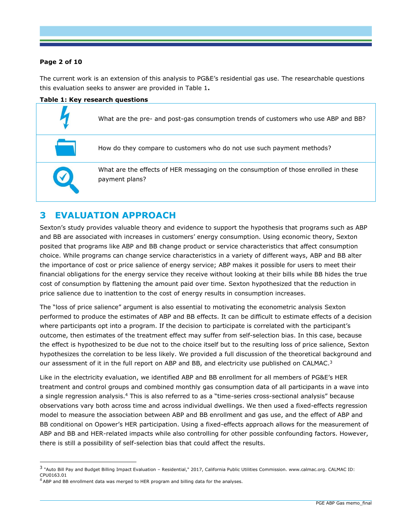### **Page 2 of 10**

ı

The current work is an extension of this analysis to PG&E's residential gas use. The researchable questions this evaluation seeks to answer are provided in [Table 1](#page-1-0)**.**

<span id="page-1-0"></span>

# **3 EVALUATION APPROACH**

Sexton's study provides valuable theory and evidence to support the hypothesis that programs such as ABP and BB are associated with increases in customers' energy consumption. Using economic theory, Sexton posited that programs like ABP and BB change product or service characteristics that affect consumption choice. While programs can change service characteristics in a variety of different ways, ABP and BB alter the importance of cost or price salience of energy service; ABP makes it possible for users to meet their financial obligations for the energy service they receive without looking at their bills while BB hides the true cost of consumption by flattening the amount paid over time. Sexton hypothesized that the reduction in price salience due to inattention to the cost of energy results in consumption increases.

The "loss of price salience" argument is also essential to motivating the econometric analysis Sexton performed to produce the estimates of ABP and BB effects. It can be difficult to estimate effects of a decision where participants opt into a program. If the decision to participate is correlated with the participant's outcome, then estimates of the treatment effect may suffer from self-selection bias. In this case, because the effect is hypothesized to be due not to the choice itself but to the resulting loss of price salience, Sexton hypothesizes the correlation to be less likely. We provided a full discussion of the theoretical background and our assessment of it in the full report on ABP and BB, and electricity use published on CALMAC.<sup>3</sup>

Like in the electricity evaluation, we identified ABP and BB enrollment for all members of PG&E's HER treatment and control groups and combined monthly gas consumption data of all participants in a wave into a single regression analysis.<sup>4</sup> This is also referred to as a "time-series cross-sectional analysis" because observations vary both across time and across individual dwellings. We then used a fixed-effects regression model to measure the association between ABP and BB enrollment and gas use, and the effect of ABP and BB conditional on Opower's HER participation. Using a fixed-effects approach allows for the measurement of ABP and BB and HER-related impacts while also controlling for other possible confounding factors. However, there is still a possibility of self-selection bias that could affect the results.

<sup>3</sup> "Auto Bill Pay and Budget Billing Impact Evaluation – Residential," 2017, California Public Utilities Commission. [www.calmac.org.](http://www.calmac.org/) CALMAC ID: CPU0163.01

 $4$  ABP and BB enrollment data was merged to HER program and billing data for the analyses.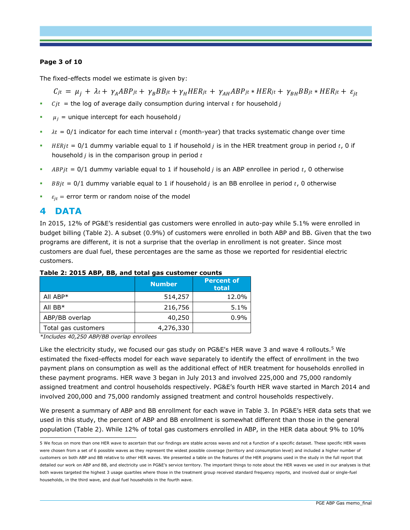### **Page 3 of 10**

The fixed-effects model we estimate is given by:

 $C_{jt} = \mu_i + \lambda_t + \gamma_A ABP_{jt} + \gamma_B BB_{jt} + \gamma_H HER_{jt} + \gamma_{AH} ABP_{jt} * HER_{jt} + \gamma_{BH} BB_{jt} * HER_{jt} + \varepsilon_{it}$ 

- $\bullet$  *Cit* = the log of average daily consumption during interval *t* for household *j*
- $\mu_i$  = unique intercept for each household j
- $\bullet$   $\lambda t = 0/1$  indicator for each time interval t (month-year) that tracks systematic change over time
- **E** HERjt = 0/1 dummy variable equal to 1 if household *j* is in the HER treatment group in period t, 0 if household  $j$  is in the comparison group in period  $t$
- $ABPjt = 0/1$  dummy variable equal to 1 if household *j* is an ABP enrollee in period *t*, 0 otherwise
- **•**  $BBjt = 0/1$  dummy variable equal to 1 if household *j* is an BB enrollee in period *t*, 0 otherwise
- $\epsilon_{it}$  = error term or random noise of the model

### **4 DATA**

ı

In 2015, 12% of PG&E's residential gas customers were enrolled in auto-pay while 5.1% were enrolled in budget billing [\(Table 2\)](#page-2-0). A subset (0.9%) of customers were enrolled in both ABP and BB. Given that the two programs are different, it is not a surprise that the overlap in enrollment is not greater. Since most customers are dual fuel, these percentages are the same as those we reported for residential electric customers.

|                     | <b>Number</b> | <b>Percent of</b><br>total |
|---------------------|---------------|----------------------------|
| All ABP*            | 514,257       | 12.0%                      |
| All $BB*$           | 216,756       | 5.1%                       |
| ABP/BB overlap      | 40,250        | 0.9%                       |
| Total gas customers | 4,276,330     |                            |

#### <span id="page-2-0"></span>**Table 2: 2015 ABP, BB, and total gas customer counts**

*\*Includes 40,250 ABP/BB overlap enrollees*

Like the electricity study, we focused our gas study on PG&E's HER wave 3 and wave 4 rollouts.<sup>5</sup> We estimated the fixed-effects model for each wave separately to identify the effect of enrollment in the two payment plans on consumption as well as the additional effect of HER treatment for households enrolled in these payment programs. HER wave 3 began in July 2013 and involved 225,000 and 75,000 randomly assigned treatment and control households respectively. PG&E's fourth HER wave started in March 2014 and involved 200,000 and 75,000 randomly assigned treatment and control households respectively.

We present a summary of ABP and BB enrollment for each wave in [Table 3.](#page-3-0) In PG&E's HER data sets that we used in this study, the percent of ABP and BB enrollment is somewhat different than those in the general population [\(Table 2\)](#page-2-0). While 12% of total gas customers enrolled in ABP, in the HER data about 9% to 10%

<sup>5</sup> We focus on more than one HER wave to ascertain that our findings are stable across waves and not a function of a specific dataset. These specific HER waves were chosen from a set of 6 possible waves as they represent the widest possible coverage (territory and consumption level) and included a higher number of customers on both ABP and BB relative to other HER waves. We presented a table on the features of the HER programs used in the study in the full report that detailed our work on ABP and BB, and electricity use in PG&E's service territory. The important things to note about the HER waves we used in our analyses is that both waves targeted the highest 3 usage quartiles where those in the treatment group received standard frequency reports, and involved dual or single-fuel households, in the third wave, and dual fuel households in the fourth wave.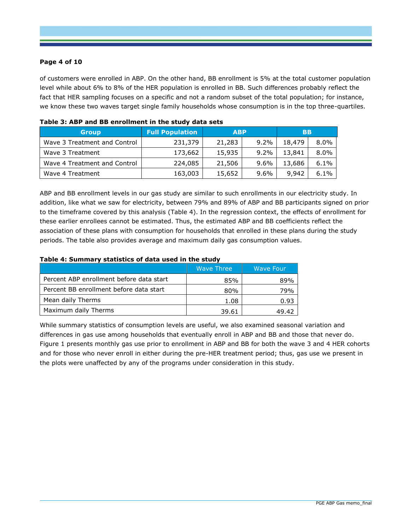### **Page 4 of 10**

of customers were enrolled in ABP. On the other hand, BB enrollment is 5% at the total customer population level while about 6% to 8% of the HER population is enrolled in BB. Such differences probably reflect the fact that HER sampling focuses on a specific and not a random subset of the total population; for instance, we know these two waves target single family households whose consumption is in the top three-quartiles.

| <b>Group</b>                 | <b>Full Population</b> | <b>ABP</b> |         | <b>BB</b> |         |
|------------------------------|------------------------|------------|---------|-----------|---------|
| Wave 3 Treatment and Control | 231,379                | 21,283     | $9.2\%$ | 18,479    | $8.0\%$ |
| Wave 3 Treatment             | 173,662                | 15,935     | $9.2\%$ | 13,841    | $8.0\%$ |
| Wave 4 Treatment and Control | 224,085                | 21,506     | $9.6\%$ | 13,686    | 6.1%    |
| Wave 4 Treatment             | 163,003                | 15,652     | $9.6\%$ | 9,942     | 6.1%    |

<span id="page-3-0"></span>

|  |  | Table 3: ABP and BB enrollment in the study data sets |  |  |  |  |
|--|--|-------------------------------------------------------|--|--|--|--|
|--|--|-------------------------------------------------------|--|--|--|--|

ABP and BB enrollment levels in our gas study are similar to such enrollments in our electricity study. In addition, like what we saw for electricity, between 79% and 89% of ABP and BB participants signed on prior to the timeframe covered by this analysis [\(Table 4\)](#page-3-1). In the regression context, the effects of enrollment for these earlier enrollees cannot be estimated. Thus, the estimated ABP and BB coefficients reflect the association of these plans with consumption for households that enrolled in these plans during the study periods. The table also provides average and maximum daily gas consumption values.

#### <span id="page-3-1"></span>**Table 4: Summary statistics of data used in the study**

|                                          | Wave Three | <b>Wave Four</b> |
|------------------------------------------|------------|------------------|
| Percent ABP enrollment before data start | 85%        | 89%              |
| Percent BB enrollment before data start  | 80%        | 79%              |
| Mean daily Therms                        | 1.08       | 0.93             |
| Maximum daily Therms                     | 39.61      | 49.42            |

While summary statistics of consumption levels are useful, we also examined seasonal variation and differences in gas use among households that eventually enroll in ABP and BB and those that never do. [Figure 1](#page-4-0) presents monthly gas use prior to enrollment in ABP and BB for both the wave 3 and 4 HER cohorts and for those who never enroll in either during the pre-HER treatment period; thus, gas use we present in the plots were unaffected by any of the programs under consideration in this study.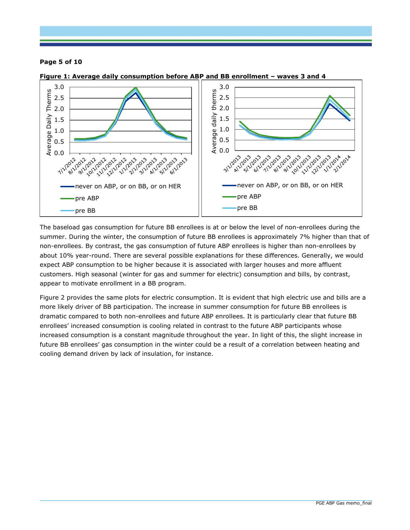### **Page 5 of 10**



#### <span id="page-4-0"></span>**Figure 1: Average daily consumption before ABP and BB enrollment – waves 3 and 4**

The baseload gas consumption for future BB enrollees is at or below the level of non-enrollees during the summer. During the winter, the consumption of future BB enrollees is approximately 7% higher than that of non-enrollees. By contrast, the gas consumption of future ABP enrollees is higher than non-enrollees by about 10% year-round. There are several possible explanations for these differences. Generally, we would expect ABP consumption to be higher because it is associated with larger houses and more affluent customers. High seasonal (winter for gas and summer for electric) consumption and bills, by contrast, appear to motivate enrollment in a BB program.

[Figure 2](#page-5-0) provides the same plots for electric consumption. It is evident that high electric use and bills are a more likely driver of BB participation. The increase in summer consumption for future BB enrollees is dramatic compared to both non-enrollees and future ABP enrollees. It is particularly clear that future BB enrollees' increased consumption is cooling related in contrast to the future ABP participants whose increased consumption is a constant magnitude throughout the year. In light of this, the slight increase in future BB enrollees' gas consumption in the winter could be a result of a correlation between heating and cooling demand driven by lack of insulation, for instance.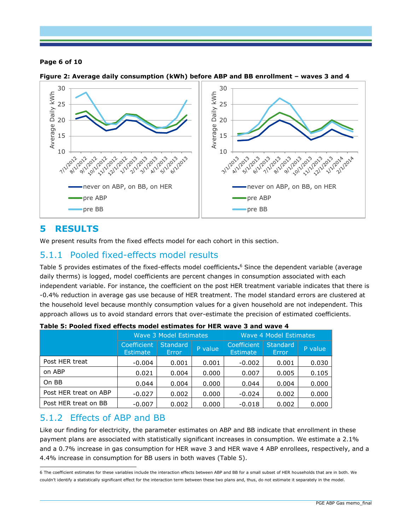### **Page 6 of 10**



<span id="page-5-0"></span>

# **5 RESULTS**

We present results from the fixed effects model for each cohort in this section.

# 5.1.1 Pooled fixed-effects model results

[Table 5](#page-5-1) provides estimates of the fixed-effects model coefficients**.** <sup>6</sup> Since the dependent variable (average daily therms) is logged, model coefficients are percent changes in consumption associated with each independent variable. For instance, the coefficient on the post HER treatment variable indicates that there is -0.4% reduction in average gas use because of HER treatment. The model standard errors are clustered at the household level because monthly consumption values for a given household are not independent. This approach allows us to avoid standard errors that over-estimate the precision of estimated coefficients.

|                       | Wave 3 Model Estimates         |                          |         | Wave 4 Model Estimates         |                          |         |  |
|-----------------------|--------------------------------|--------------------------|---------|--------------------------------|--------------------------|---------|--|
|                       | Coefficient<br><b>Estimate</b> | <b>Standard</b><br>Error | P value | Coefficient<br><b>Estimate</b> | <b>Standard</b><br>Error | P value |  |
| Post HER treat        | $-0.004$                       | 0.001                    | 0.001   | $-0.002$                       | 0.001                    | 0.030   |  |
| on ABP                | 0.021                          | 0.004                    | 0.000   | 0.007                          | 0.005                    | 0.105   |  |
| On BB                 | 0.044                          | 0.004                    | 0.000   | 0.044                          | 0.004                    | 0.000   |  |
| Post HER treat on ABP | $-0.027$                       | 0.002                    | 0.000   | $-0.024$                       | 0.002                    | 0.000   |  |
| Post HER treat on BB  | $-0.007$                       | 0.002                    | 0.000   | $-0.018$                       | 0.002                    | 0.000   |  |

<span id="page-5-1"></span>

|  |  | Table 5: Pooled fixed effects model estimates for HER wave 3 and wave 4 |  |  |  |
|--|--|-------------------------------------------------------------------------|--|--|--|
|  |  |                                                                         |  |  |  |

# 5.1.2 Effects of ABP and BB

Like our finding for electricity, the parameter estimates on ABP and BB indicate that enrollment in these payment plans are associated with statistically significant increases in consumption. We estimate a 2.1% and a 0.7% increase in gas consumption for HER wave 3 and HER wave 4 ABP enrollees, respectively, and a 4.4% increase in consumption for BB users in both waves [\(Table 5\)](#page-5-1).

ı 6 The coefficient estimates for these variables include the interaction effects between ABP and BB for a small subset of HER households that are in both. We couldn't identify a statistically significant effect for the interaction term between these two plans and, thus, do not estimate it separately in the model.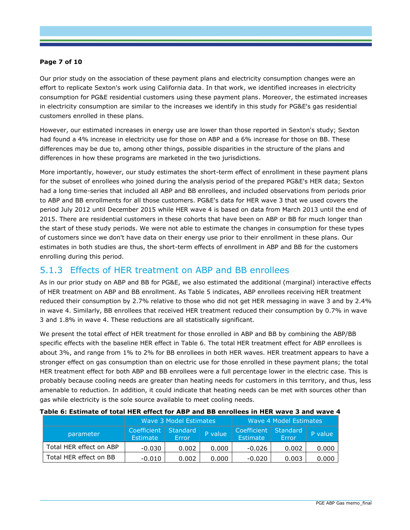### **Page 7 of 10**

Our prior study on the association of these payment plans and electricity consumption changes were an effort to replicate Sexton's work using California data. In that work, we identified increases in electricity consumption for PG&E residential customers using these payment plans. Moreover, the estimated increases in electricity consumption are similar to the increases we identify in this study for PG&E's gas residential customers enrolled in these plans.

However, our estimated increases in energy use are lower than those reported in Sexton's study; Sexton had found a 4% increase in electricity use for those on ABP and a 6% increase for those on BB. These differences may be due to, among other things, possible disparities in the structure of the plans and differences in how these programs are marketed in the two jurisdictions.

More importantly, however, our study estimates the short-term effect of enrollment in these payment plans for the subset of enrollees who joined during the analysis period of the prepared PG&E's HER data; Sexton had a long time-series that included all ABP and BB enrollees, and included observations from periods prior to ABP and BB enrollments for all those customers. PG&E's data for HER wave 3 that we used covers the period July 2012 until December 2015 while HER wave 4 is based on data from March 2013 until the end of 2015. There are residential customers in these cohorts that have been on ABP or BB for much longer than the start of these study periods. We were not able to estimate the changes in consumption for these types of customers since we don't have data on their energy use prior to their enrollment in these plans. Our estimates in both studies are thus, the short-term effects of enrollment in ABP and BB for the customers enrolling during this period.

# 5.1.3 Effects of HER treatment on ABP and BB enrollees

As in our prior study on ABP and BB for PG&E, we also estimated the additional (marginal) interactive effects of HER treatment on ABP and BB enrollment. As [Table 5](#page-5-1) indicates, ABP enrollees receiving HER treatment reduced their consumption by 2.7% relative to those who did not get HER messaging in wave 3 and by 2.4% in wave 4. Similarly, BB enrollees that received HER treatment reduced their consumption by 0.7% in wave 3 and 1.8% in wave 4. These reductions are all statistically significant.

We present the total effect of HER treatment for those enrolled in ABP and BB by combining the ABP/BB specific effects with the baseline HER effect in [Table 6.](#page-6-0) The total HER treatment effect for ABP enrollees is about 3%, and range from 1% to 2% for BB enrollees in both HER waves. HER treatment appears to have a stronger effect on gas consumption than on electric use for those enrolled in these payment plans; the total HER treatment effect for both ABP and BB enrollees were a full percentage lower in the electric case. This is probably because cooling needs are greater than heating needs for customers in this territory, and thus, less amenable to reduction. In addition, it could indicate that heating needs can be met with sources other than gas while electricity is the sole source available to meet cooling needs.

|                         |                                           | Wave 3 Model Estimates |         | Wave 4 Model Estimates                    |              |         |  |
|-------------------------|-------------------------------------------|------------------------|---------|-------------------------------------------|--------------|---------|--|
| parameter               | Coefficient   Standard<br><b>Estimate</b> | Error                  | P value | Coefficient   Standard<br><b>Estimate</b> | <b>Error</b> | P value |  |
| Total HER effect on ABP | $-0.030$                                  | 0.002                  | 0.000   | $-0.026$                                  | 0.002        | 0.000   |  |
| Total HER effect on BB  | $-0.010$                                  | 0.002                  | 0.000   | $-0.020$                                  | 0.003        | 0.000   |  |

#### <span id="page-6-0"></span>**Table 6: Estimate of total HER effect for ABP and BB enrollees in HER wave 3 and wave 4**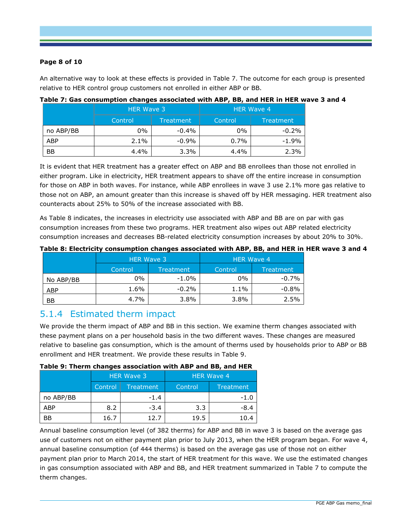### **Page 8 of 10**

An alternative way to look at these effects is provided in [Table 7.](#page-7-0) The outcome for each group is presented relative to HER control group customers not enrolled in either ABP or BB.

|            | <b>HER Wave 3</b> |           | <b>HER Wave 4</b> |           |  |  |
|------------|-------------------|-----------|-------------------|-----------|--|--|
|            | Control           | Treatment | Control           | Treatment |  |  |
| no ABP/BB  | 0%                | $-0.4\%$  | $0\%$             | $-0.2%$   |  |  |
| <b>ABP</b> | 2.1%              | $-0.9%$   | 0.7%              | $-1.9\%$  |  |  |
| <b>BB</b>  | 4.4%              | 3.3%      | 4.4%              | 2.3%      |  |  |

#### <span id="page-7-0"></span>**Table 7: Gas consumption changes associated with ABP, BB, and HER in HER wave 3 and 4**

It is evident that HER treatment has a greater effect on ABP and BB enrollees than those not enrolled in either program. Like in electricity, HER treatment appears to shave off the entire increase in consumption for those on ABP in both waves. For instance, while ABP enrollees in wave 3 use 2.1% more gas relative to those not on ABP, an amount greater than this increase is shaved off by HER messaging. HER treatment also counteracts about 25% to 50% of the increase associated with BB.

As [Table 8](#page-7-1) indicates, the increases in electricity use associated with ABP and BB are on par with gas consumption increases from these two programs. HER treatment also wipes out ABP related electricity consumption increases and decreases BB-related electricity consumption increases by about 20% to 30%.

|            | <b>HER Wave 3</b> |           | <b>HER Wave 4</b> |           |
|------------|-------------------|-----------|-------------------|-----------|
|            | Control           | Treatment | Control           | Treatment |
| No ABP/BB  | 0%                | $-1.0\%$  | $0\%$             | $-0.7%$   |
| <b>ABP</b> | 1.6%              | $-0.2\%$  | 1.1%              | $-0.8\%$  |
| <b>BB</b>  | 4.7%              | 3.8%      | 3.8%              | 2.5%      |

#### <span id="page-7-1"></span>**Table 8: Electricity consumption changes associated with ABP, BB, and HER in HER wave 3 and 4**

### 5.1.4 Estimated therm impact

We provide the therm impact of ABP and BB in this section. We examine therm changes associated with these payment plans on a per household basis in the two different waves. These changes are measured relative to baseline gas consumption, which is the amount of therms used by households prior to ABP or BB enrollment and HER treatment. We provide these results in [Table 9.](#page-7-2)

#### <span id="page-7-2"></span>**Table 9: Therm changes association with ABP and BB, and HER**

|           | --      |                   |                   |           |  |
|-----------|---------|-------------------|-------------------|-----------|--|
|           |         | <b>HER Wave 3</b> | <b>HER Wave 4</b> |           |  |
|           | Control | <b>Treatment</b>  | Control           | Treatment |  |
| no ABP/BB |         | $-1.4$            |                   | $-1.0$    |  |
| ABP       | 8.2     | $-3.4$            | 3.3               | $-8.4$    |  |
| <b>BB</b> | 16.7    | 12.7              | 19.5              | 10.4      |  |

Annual baseline consumption level (of 382 therms) for ABP and BB in wave 3 is based on the average gas use of customers not on either payment plan prior to July 2013, when the HER program began. For wave 4, annual baseline consumption (of 444 therms) is based on the average gas use of those not on either payment plan prior to March 2014, the start of HER treatment for this wave. We use the estimated changes in gas consumption associated with ABP and BB, and HER treatment summarized in [Table 7](#page-7-0) to compute the therm changes.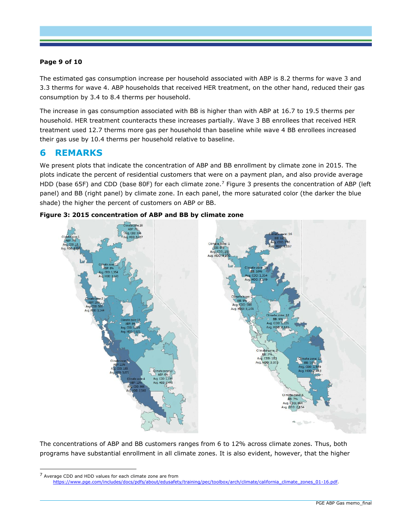### **Page 9 of 10**

The estimated gas consumption increase per household associated with ABP is 8.2 therms for wave 3 and 3.3 therms for wave 4. ABP households that received HER treatment, on the other hand, reduced their gas consumption by 3.4 to 8.4 therms per household.

The increase in gas consumption associated with BB is higher than with ABP at 16.7 to 19.5 therms per household. HER treatment counteracts these increases partially. Wave 3 BB enrollees that received HER treatment used 12.7 therms more gas per household than baseline while wave 4 BB enrollees increased their gas use by 10.4 therms per household relative to baseline.

# **6 REMARKS**

ı

We present plots that indicate the concentration of ABP and BB enrollment by climate zone in 2015. The plots indicate the percent of residential customers that were on a payment plan, and also provide average HDD (base 65F) and CDD (base 80F) for each climate zone.<sup>7</sup> [Figure 3](#page-8-0) presents the concentration of ABP (left panel) and BB (right panel) by climate zone. In each panel, the more saturated color (the darker the blue shade) the higher the percent of customers on ABP or BB.



<span id="page-8-0"></span>

The concentrations of ABP and BB customers ranges from 6 to 12% across climate zones. Thus, both programs have substantial enrollment in all climate zones. It is also evident, however, that the higher

<sup>7</sup> Average CDD and HDD values for each climate zone are from [https://www.pge.com/includes/docs/pdfs/about/edusafety/training/pec/toolbox/arch/climate/california\\_climate\\_zones\\_01-16.pdf.](https://www.pge.com/includes/docs/pdfs/about/edusafety/training/pec/toolbox/arch/climate/california_climate_zones_01-16.pdf)